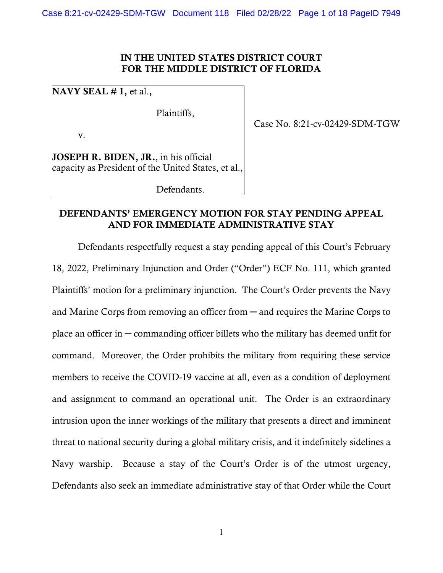## IN THE UNITED STATES DISTRICT COURT FOR THE MIDDLE DISTRICT OF FLORIDA

NAVY SEAL  $# 1$ , et al.,

Plaintiffs,

v.

JOSEPH R. BIDEN, JR., in his official capacity as President of the United States, et al.,

Defendants.

Case No. 8:21-cv-02429-SDM-TGW

## DEFENDANTS' EMERGENCY MOTION FOR STAY PENDING APPEAL AND FOR IMMEDIATE ADMINISTRATIVE STAY

Defendants respectfully request a stay pending appeal of this Court's February 18, 2022, Preliminary Injunction and Order ("Order") ECF No. 111, which granted Plaintiffs' motion for a preliminary injunction. The Court's Order prevents the Navy and Marine Corps from removing an officer from ─ and requires the Marine Corps to place an officer in  $-$  commanding officer billets who the military has deemed unfit for command. Moreover, the Order prohibits the military from requiring these service members to receive the COVID-19 vaccine at all, even as a condition of deployment and assignment to command an operational unit. The Order is an extraordinary intrusion upon the inner workings of the military that presents a direct and imminent threat to national security during a global military crisis, and it indefinitely sidelines a Navy warship. Because a stay of the Court's Order is of the utmost urgency, Defendants also seek an immediate administrative stay of that Order while the Court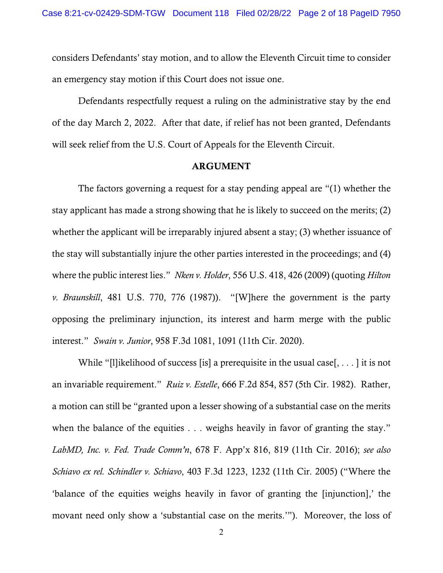considers Defendants' stay motion, and to allow the Eleventh Circuit time to consider an emergency stay motion if this Court does not issue one.

Defendants respectfully request a ruling on the administrative stay by the end of the day March 2, 2022. After that date, if relief has not been granted, Defendants will seek relief from the U.S. Court of Appeals for the Eleventh Circuit.

### ARGUMENT

The factors governing a request for a stay pending appeal are "(1) whether the stay applicant has made a strong showing that he is likely to succeed on the merits; (2) whether the applicant will be irreparably injured absent a stay; (3) whether issuance of the stay will substantially injure the other parties interested in the proceedings; and (4) where the public interest lies." *Nken v. Holder*, 556 U.S. 418, 426 (2009) (quoting *Hilton v. Braunskill*, 481 U.S. 770, 776 (1987)). "[W]here the government is the party opposing the preliminary injunction, its interest and harm merge with the public interest." *Swain v. Junior*, 958 F.3d 1081, 1091 (11th Cir. 2020).

While "[l]ikelihood of success [is] a prerequisite in the usual case[, . . . ] it is not an invariable requirement." *Ruiz v. Estelle*, 666 F.2d 854, 857 (5th Cir. 1982). Rather, a motion can still be "granted upon a lesser showing of a substantial case on the merits when the balance of the equities . . . weighs heavily in favor of granting the stay." *LabMD, Inc. v. Fed. Trade Comm'n*, 678 F. App'x 816, 819 (11th Cir. 2016); *see also Schiavo ex rel. Schindler v. Schiavo*, 403 F.3d 1223, 1232 (11th Cir. 2005) ("Where the 'balance of the equities weighs heavily in favor of granting the [injunction],' the movant need only show a 'substantial case on the merits.'"). Moreover, the loss of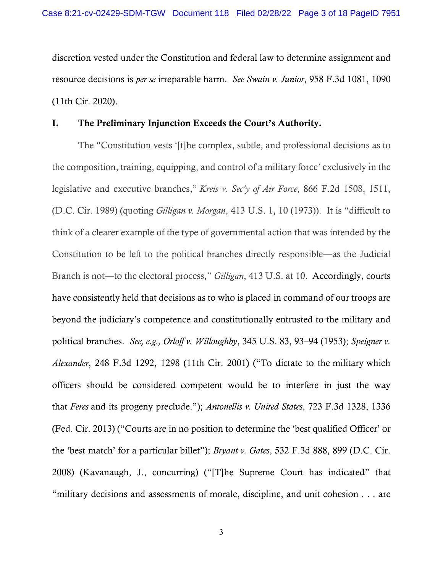discretion vested under the Constitution and federal law to determine assignment and resource decisions is *per se* irreparable harm. *See Swain v. Junior*, 958 F.3d 1081, 1090 (11th Cir. 2020).

## I. The Preliminary Injunction Exceeds the Court's Authority.

The "Constitution vests '[t]he complex, subtle, and professional decisions as to the composition, training, equipping, and control of a military force' exclusively in the legislative and executive branches," *Kreis v. Sec'y of Air Force*, 866 F.2d 1508, 1511, (D.C. Cir. 1989) (quoting *Gilligan v. Morgan*, 413 U.S. 1, 10 (1973)). It is "difficult to think of a clearer example of the type of governmental action that was intended by the Constitution to be left to the political branches directly responsible—as the Judicial Branch is not—to the electoral process," *Gilligan*, 413 U.S. at 10. Accordingly, courts have consistently held that decisions as to who is placed in command of our troops are beyond the judiciary's competence and constitutionally entrusted to the military and political branches. *See, e.g., Orloff v. Willoughby*, 345 U.S. 83, 93–94 (1953); *Speigner v. Alexander*, 248 F.3d 1292, 1298 (11th Cir. 2001) ("To dictate to the military which officers should be considered competent would be to interfere in just the way that *Feres* and its progeny preclude."); *Antonellis v. United States*, 723 F.3d 1328, 1336 (Fed. Cir. 2013) ("Courts are in no position to determine the 'best qualified Officer' or the 'best match' for a particular billet"); *Bryant v. Gates*, 532 F.3d 888, 899 (D.C. Cir. 2008) (Kavanaugh, J., concurring) ("[T]he Supreme Court has indicated" that "military decisions and assessments of morale, discipline, and unit cohesion . . . are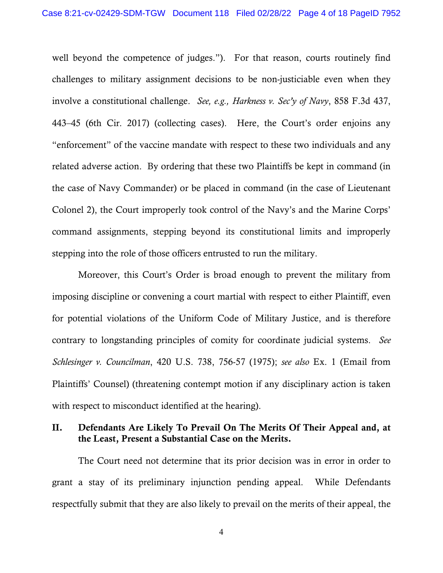well beyond the competence of judges."). For that reason, courts routinely find challenges to military assignment decisions to be non-justiciable even when they involve a constitutional challenge. *See, e.g., Harkness v. Sec'y of Navy*, 858 F.3d 437, 443–45 (6th Cir. 2017) (collecting cases). Here, the Court's order enjoins any "enforcement" of the vaccine mandate with respect to these two individuals and any related adverse action. By ordering that these two Plaintiffs be kept in command (in the case of Navy Commander) or be placed in command (in the case of Lieutenant Colonel 2), the Court improperly took control of the Navy's and the Marine Corps' command assignments, stepping beyond its constitutional limits and improperly stepping into the role of those officers entrusted to run the military.

Moreover, this Court's Order is broad enough to prevent the military from imposing discipline or convening a court martial with respect to either Plaintiff, even for potential violations of the Uniform Code of Military Justice, and is therefore contrary to longstanding principles of comity for coordinate judicial systems. *See Schlesinger v. Councilman*, 420 U.S. 738, 756-57 (1975); *see also* Ex. 1 (Email from Plaintiffs' Counsel) (threatening contempt motion if any disciplinary action is taken with respect to misconduct identified at the hearing).

## II. Defendants Are Likely To Prevail On The Merits Of Their Appeal and, at the Least, Present a Substantial Case on the Merits.

The Court need not determine that its prior decision was in error in order to grant a stay of its preliminary injunction pending appeal. While Defendants respectfully submit that they are also likely to prevail on the merits of their appeal, the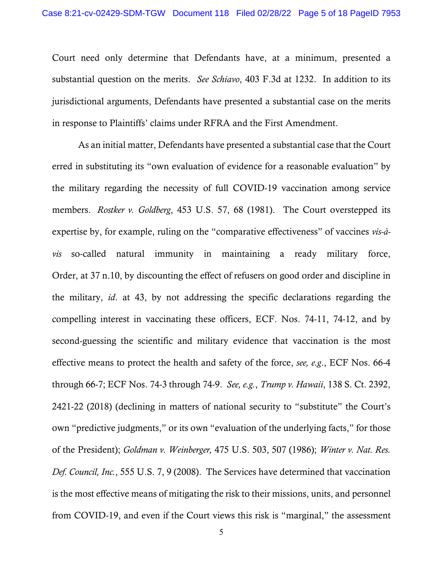Court need only determine that Defendants have, at a minimum, presented a substantial question on the merits. *See Schiavo*, 403 F.3d at 1232. In addition to its jurisdictional arguments, Defendants have presented a substantial case on the merits in response to Plaintiffs' claims under RFRA and the First Amendment.

As an initial matter, Defendants have presented a substantial case that the Court erred in substituting its "own evaluation of evidence for a reasonable evaluation" by the military regarding the necessity of full COVID-19 vaccination among service members. *Rostker v. Goldberg*, 453 U.S. 57, 68 (1981). The Court overstepped its expertise by, for example, ruling on the "comparative effectiveness" of vaccines *vis-àvis* so-called natural immunity in maintaining a ready military force, Order, at 37 n.10, by discounting the effect of refusers on good order and discipline in the military, *id*. at 43, by not addressing the specific declarations regarding the compelling interest in vaccinating these officers, ECF. Nos. 74-11, 74-12, and by second-guessing the scientific and military evidence that vaccination is the most effective means to protect the health and safety of the force, *see, e.g*., ECF Nos. 66-4 through 66-7; ECF Nos. 74-3 through 74-9. *See, e.g.*, *Trump v. Hawaii*, 138 S. Ct. 2392, 2421-22 (2018) (declining in matters of national security to "substitute" the Court's own "predictive judgments," or its own "evaluation of the underlying facts," for those of the President); *Goldman v. Weinberger,* 475 U.S. 503, 507 (1986); *Winter v. Nat. Res. Def. Council, Inc.*, 555 U.S. 7, 9 (2008). The Services have determined that vaccination is the most effective means of mitigating the risk to their missions, units, and personnel from COVID-19, and even if the Court views this risk is "marginal," the assessment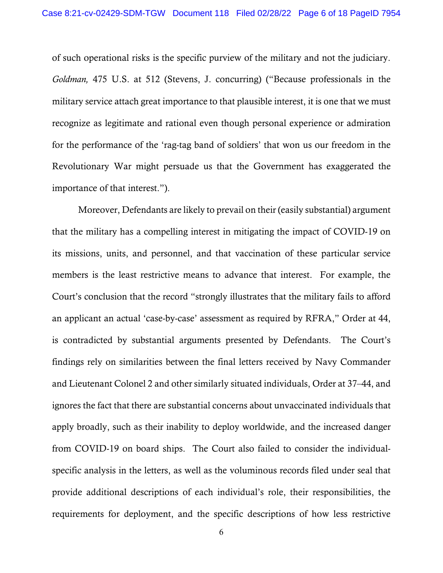of such operational risks is the specific purview of the military and not the judiciary. *Goldman,* 475 U.S. at 512 (Stevens, J. concurring) ("Because professionals in the military service attach great importance to that plausible interest, it is one that we must recognize as legitimate and rational even though personal experience or admiration for the performance of the 'rag-tag band of soldiers' that won us our freedom in the Revolutionary War might persuade us that the Government has exaggerated the importance of that interest.").

Moreover, Defendants are likely to prevail on their (easily substantial) argument that the military has a compelling interest in mitigating the impact of COVID-19 on its missions, units, and personnel, and that vaccination of these particular service members is the least restrictive means to advance that interest. For example, the Court's conclusion that the record "strongly illustrates that the military fails to afford an applicant an actual 'case-by-case' assessment as required by RFRA," Order at 44, is contradicted by substantial arguments presented by Defendants. The Court's findings rely on similarities between the final letters received by Navy Commander and Lieutenant Colonel 2 and other similarly situated individuals, Order at 37–44, and ignores the fact that there are substantial concerns about unvaccinated individuals that apply broadly, such as their inability to deploy worldwide, and the increased danger from COVID-19 on board ships. The Court also failed to consider the individualspecific analysis in the letters, as well as the voluminous records filed under seal that provide additional descriptions of each individual's role, their responsibilities, the requirements for deployment, and the specific descriptions of how less restrictive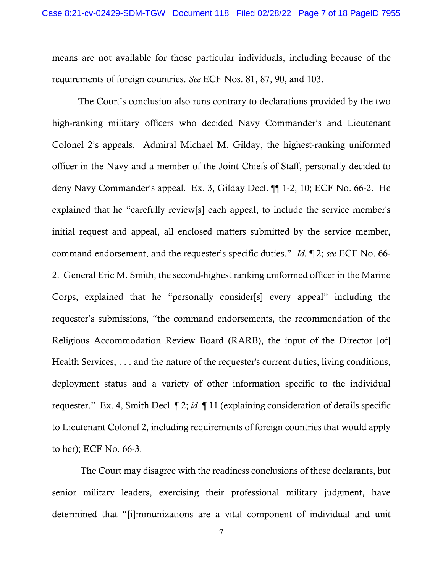means are not available for those particular individuals, including because of the requirements of foreign countries. *See* ECF Nos. 81, 87, 90, and 103.

The Court's conclusion also runs contrary to declarations provided by the two high-ranking military officers who decided Navy Commander's and Lieutenant Colonel 2's appeals. Admiral Michael M. Gilday, the highest-ranking uniformed officer in the Navy and a member of the Joint Chiefs of Staff, personally decided to deny Navy Commander's appeal. Ex. 3, Gilday Decl. ¶¶ 1-2, 10; ECF No. 66-2. He explained that he "carefully review[s] each appeal, to include the service member's initial request and appeal, all enclosed matters submitted by the service member, command endorsement, and the requester's specific duties." *Id.* ¶ 2; *see* ECF No. 66- 2. General Eric M. Smith, the second-highest ranking uniformed officer in the Marine Corps, explained that he "personally consider[s] every appeal" including the requester's submissions, "the command endorsements, the recommendation of the Religious Accommodation Review Board (RARB), the input of the Director [of] Health Services, . . . and the nature of the requester's current duties, living conditions, deployment status and a variety of other information specific to the individual requester." Ex. 4, Smith Decl. ¶ 2; *id*. ¶ 11 (explaining consideration of details specific to Lieutenant Colonel 2, including requirements of foreign countries that would apply to her); ECF No. 66-3.

The Court may disagree with the readiness conclusions of these declarants, but senior military leaders, exercising their professional military judgment, have determined that "[i]mmunizations are a vital component of individual and unit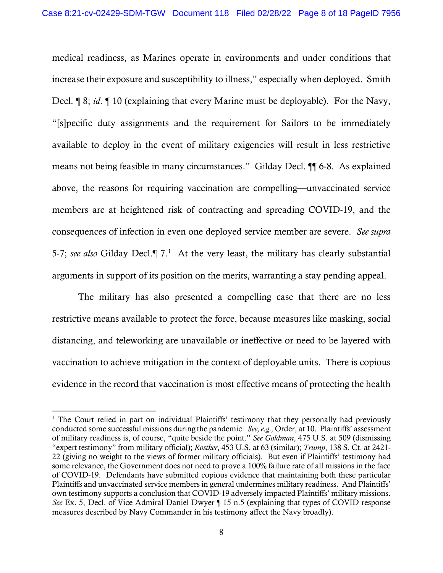medical readiness, as Marines operate in environments and under conditions that increase their exposure and susceptibility to illness," especially when deployed. Smith Decl. ¶ 8; *id*. ¶ 10 (explaining that every Marine must be deployable). For the Navy, "[s]pecific duty assignments and the requirement for Sailors to be immediately available to deploy in the event of military exigencies will result in less restrictive means not being feasible in many circumstances." Gilday Decl. ¶¶ 6-8. As explained above, the reasons for requiring vaccination are compelling—unvaccinated service members are at heightened risk of contracting and spreading COVID-19, and the consequences of infection in even one deployed service member are severe. *See supra*  5-7; *see also* Gilday Decl.¶ 7. 1 At the very least, the military has clearly substantial arguments in support of its position on the merits, warranting a stay pending appeal.

The military has also presented a compelling case that there are no less restrictive means available to protect the force, because measures like masking, social distancing, and teleworking are unavailable or ineffective or need to be layered with vaccination to achieve mitigation in the context of deployable units. There is copious evidence in the record that vaccination is most effective means of protecting the health

<sup>&</sup>lt;sup>1</sup> The Court relied in part on individual Plaintiffs' testimony that they personally had previously conducted some successful missions during the pandemic. *See, e.g.,* Order, at 10. Plaintiffs' assessment of military readiness is, of course, "quite beside the point." *See Goldman*, 475 U.S. at 509 (dismissing "expert testimony" from military official); *Rostker*, 453 U.S. at 63 (similar); *Trump*, 138 S. Ct. at 2421- 22 (giving no weight to the views of former military officials). But even if Plaintiffs' testimony had some relevance, the Government does not need to prove a 100% failure rate of all missions in the face of COVID-19. Defendants have submitted copious evidence that maintaining both these particular Plaintiffs and unvaccinated service members in general undermines military readiness. And Plaintiffs' own testimony supports a conclusion that COVID-19 adversely impacted Plaintiffs' military missions. *See* Ex. 5, Decl. of Vice Admiral Daniel Dwyer ¶ 15 n.5 (explaining that types of COVID response measures described by Navy Commander in his testimony affect the Navy broadly).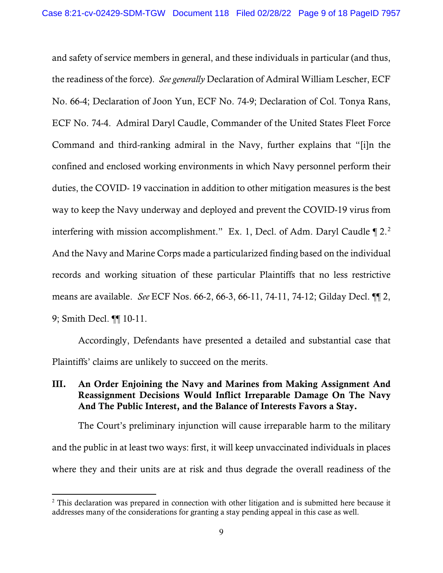and safety of service members in general, and these individuals in particular (and thus, the readiness of the force). *See generally* Declaration of Admiral William Lescher, ECF No. 66-4; Declaration of Joon Yun, ECF No. 74-9; Declaration of Col. Tonya Rans, ECF No. 74-4. Admiral Daryl Caudle, Commander of the United States Fleet Force Command and third-ranking admiral in the Navy, further explains that "[i]n the confined and enclosed working environments in which Navy personnel perform their duties, the COVID- 19 vaccination in addition to other mitigation measures is the best way to keep the Navy underway and deployed and prevent the COVID-19 virus from interfering with mission accomplishment." Ex. 1, Decl. of Adm. Daryl Caudle  $\P$  2.<sup>2</sup> And the Navy and Marine Corps made a particularized finding based on the individual records and working situation of these particular Plaintiffs that no less restrictive means are available. *See* ECF Nos. 66-2, 66-3, 66-11, 74-11, 74-12; Gilday Decl. ¶¶ 2, 9; Smith Decl. ¶¶ 10-11.

Accordingly, Defendants have presented a detailed and substantial case that Plaintiffs' claims are unlikely to succeed on the merits.

# III. An Order Enjoining the Navy and Marines from Making Assignment And Reassignment Decisions Would Inflict Irreparable Damage On The Navy And The Public Interest, and the Balance of Interests Favors a Stay.

The Court's preliminary injunction will cause irreparable harm to the military and the public in at least two ways: first, it will keep unvaccinated individuals in places where they and their units are at risk and thus degrade the overall readiness of the

 $2$  This declaration was prepared in connection with other litigation and is submitted here because it addresses many of the considerations for granting a stay pending appeal in this case as well.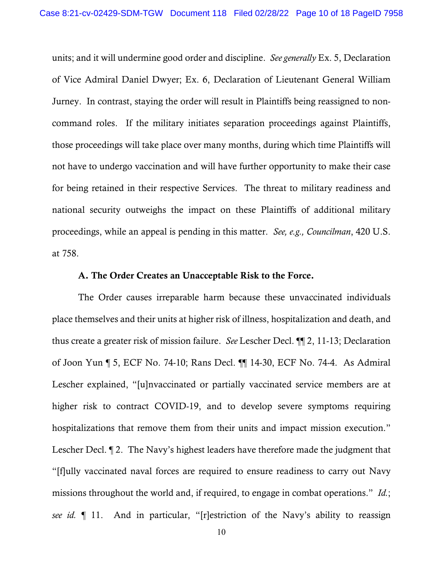units; and it will undermine good order and discipline. *See generally* Ex. 5, Declaration of Vice Admiral Daniel Dwyer; Ex. 6, Declaration of Lieutenant General William Jurney. In contrast, staying the order will result in Plaintiffs being reassigned to noncommand roles. If the military initiates separation proceedings against Plaintiffs, those proceedings will take place over many months, during which time Plaintiffs will not have to undergo vaccination and will have further opportunity to make their case for being retained in their respective Services. The threat to military readiness and national security outweighs the impact on these Plaintiffs of additional military proceedings, while an appeal is pending in this matter. *See, e.g., Councilman*, 420 U.S. at 758.

#### A. The Order Creates an Unacceptable Risk to the Force.

The Order causes irreparable harm because these unvaccinated individuals place themselves and their units at higher risk of illness, hospitalization and death, and thus create a greater risk of mission failure. *See* Lescher Decl. ¶¶ 2, 11-13; Declaration of Joon Yun ¶ 5, ECF No. 74-10; Rans Decl. ¶¶ 14-30, ECF No. 74-4. As Admiral Lescher explained, "[u]nvaccinated or partially vaccinated service members are at higher risk to contract COVID-19, and to develop severe symptoms requiring hospitalizations that remove them from their units and impact mission execution." Lescher Decl. ¶ 2. The Navy's highest leaders have therefore made the judgment that "[f]ully vaccinated naval forces are required to ensure readiness to carry out Navy missions throughout the world and, if required, to engage in combat operations." *Id.*; *see id.* ¶ 11. And in particular, "[r]estriction of the Navy's ability to reassign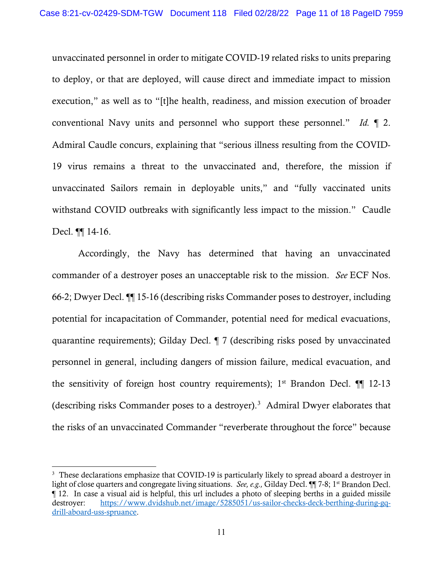unvaccinated personnel in order to mitigate COVID-19 related risks to units preparing to deploy, or that are deployed, will cause direct and immediate impact to mission execution," as well as to "[t]he health, readiness, and mission execution of broader conventional Navy units and personnel who support these personnel." *Id.* ¶ 2. Admiral Caudle concurs, explaining that "serious illness resulting from the COVID-19 virus remains a threat to the unvaccinated and, therefore, the mission if unvaccinated Sailors remain in deployable units," and "fully vaccinated units withstand COVID outbreaks with significantly less impact to the mission." Caudle Decl. ¶[ 14-16.

Accordingly, the Navy has determined that having an unvaccinated commander of a destroyer poses an unacceptable risk to the mission. *See* ECF Nos. 66-2; Dwyer Decl. ¶¶ 15-16 (describing risks Commander poses to destroyer, including potential for incapacitation of Commander, potential need for medical evacuations, quarantine requirements); Gilday Decl. ¶ 7 (describing risks posed by unvaccinated personnel in general, including dangers of mission failure, medical evacuation, and the sensitivity of foreign host country requirements);  $1<sup>st</sup>$  Brandon Decl.  $\P\P$  12-13 (describing risks Commander poses to a destroyer).<sup>3</sup> Admiral Dwyer elaborates that the risks of an unvaccinated Commander "reverberate throughout the force" because

<sup>&</sup>lt;sup>3</sup> These declarations emphasize that COVID-19 is particularly likely to spread aboard a destroyer in light of close quarters and congregate living situations. *See, e.g.,* Gilday Decl. ¶¶ 7-8; 1st Brandon Decl. ¶ 12. In case a visual aid is helpful, this url includes a photo of sleeping berths in a guided missile destroyer: https://www.dvidshub.net/image/5285051/us-sailor-checks-deck-berthing-during-gqdrill-aboard-uss-spruance.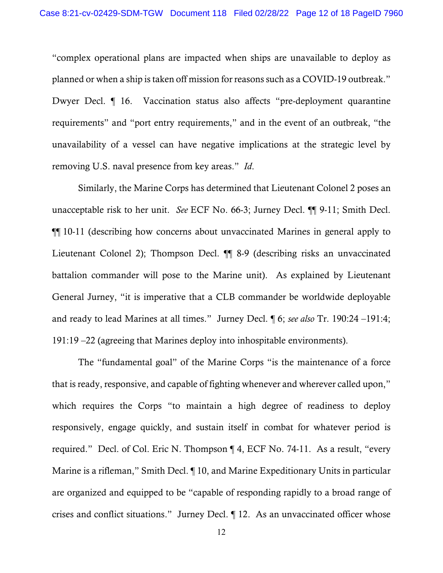"complex operational plans are impacted when ships are unavailable to deploy as planned or when a ship is taken off mission for reasons such as a COVID-19 outbreak." Dwyer Decl. ¶ 16. Vaccination status also affects "pre-deployment quarantine requirements" and "port entry requirements," and in the event of an outbreak, "the unavailability of a vessel can have negative implications at the strategic level by removing U.S. naval presence from key areas." *Id*.

Similarly, the Marine Corps has determined that Lieutenant Colonel 2 poses an unacceptable risk to her unit. *See* ECF No. 66-3; Jurney Decl. ¶¶ 9-11; Smith Decl. ¶¶ 10-11 (describing how concerns about unvaccinated Marines in general apply to Lieutenant Colonel 2); Thompson Decl. ¶¶ 8-9 (describing risks an unvaccinated battalion commander will pose to the Marine unit). As explained by Lieutenant General Jurney, "it is imperative that a CLB commander be worldwide deployable and ready to lead Marines at all times." Jurney Decl. ¶ 6; *see also* Tr. 190:24 –191:4; 191:19 –22 (agreeing that Marines deploy into inhospitable environments).

The "fundamental goal" of the Marine Corps "is the maintenance of a force that is ready, responsive, and capable of fighting whenever and wherever called upon," which requires the Corps "to maintain a high degree of readiness to deploy responsively, engage quickly, and sustain itself in combat for whatever period is required." Decl. of Col. Eric N. Thompson ¶ 4, ECF No. 74-11. As a result, "every Marine is a rifleman," Smith Decl. ¶ 10, and Marine Expeditionary Units in particular are organized and equipped to be "capable of responding rapidly to a broad range of crises and conflict situations." Jurney Decl. ¶ 12. As an unvaccinated officer whose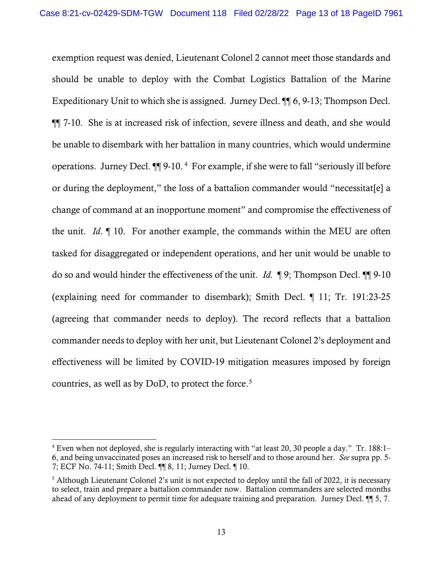exemption request was denied, Lieutenant Colonel 2 cannot meet those standards and should be unable to deploy with the Combat Logistics Battalion of the Marine Expeditionary Unit to which she is assigned. Jurney Decl. ¶¶ 6, 9-13; Thompson Decl. ¶¶ 7-10. She is at increased risk of infection, severe illness and death, and she would be unable to disembark with her battalion in many countries, which would undermine operations. Jurney Decl. ¶¶ 9-10. <sup>4</sup> For example, if she were to fall "seriously ill before or during the deployment," the loss of a battalion commander would "necessitat[e] a change of command at an inopportune moment" and compromise the effectiveness of the unit. *Id*. ¶ 10. For another example, the commands within the MEU are often tasked for disaggregated or independent operations, and her unit would be unable to do so and would hinder the effectiveness of the unit. *Id.* ¶ 9; Thompson Decl. ¶¶ 9-10 (explaining need for commander to disembark); Smith Decl. ¶ 11; Tr. 191:23-25 (agreeing that commander needs to deploy). The record reflects that a battalion commander needs to deploy with her unit, but Lieutenant Colonel 2's deployment and effectiveness will be limited by COVID-19 mitigation measures imposed by foreign countries, as well as by  $DoD$ , to protect the force.<sup>5</sup>

<sup>4</sup> Even when not deployed, she is regularly interacting with "at least 20, 30 people a day." Tr. 188:1– 6, and being unvaccinated poses an increased risk to herself and to those around her. *See* supra pp. 5- 7; ECF No. 74-11; Smith Decl. ¶¶ 8, 11; Jurney Decl. ¶ 10.

<sup>&</sup>lt;sup>5</sup> Although Lieutenant Colonel 2's unit is not expected to deploy until the fall of 2022, it is necessary to select, train and prepare a battalion commander now. Battalion commanders are selected months ahead of any deployment to permit time for adequate training and preparation. Jurney Decl. ¶¶ 5, 7.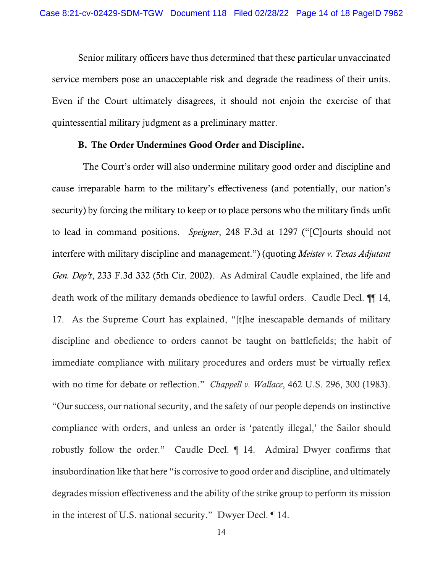Senior military officers have thus determined that these particular unvaccinated service members pose an unacceptable risk and degrade the readiness of their units. Even if the Court ultimately disagrees, it should not enjoin the exercise of that quintessential military judgment as a preliminary matter.

### B. The Order Undermines Good Order and Discipline.

 The Court's order will also undermine military good order and discipline and cause irreparable harm to the military's effectiveness (and potentially, our nation's security) by forcing the military to keep or to place persons who the military finds unfit to lead in command positions. *Speigner*, 248 F.3d at 1297 ("[C]ourts should not interfere with military discipline and management.") (quoting *Meister v. Texas Adjutant Gen. Dep't*, 233 F.3d 332 (5th Cir. 2002). As Admiral Caudle explained, the life and death work of the military demands obedience to lawful orders. Caudle Decl. ¶¶ 14, 17. As the Supreme Court has explained, "[t]he inescapable demands of military discipline and obedience to orders cannot be taught on battlefields; the habit of immediate compliance with military procedures and orders must be virtually reflex with no time for debate or reflection." *Chappell v. Wallace*, 462 U.S. 296, 300 (1983). "Our success, our national security, and the safety of our people depends on instinctive compliance with orders, and unless an order is 'patently illegal,' the Sailor should robustly follow the order." Caudle Decl. ¶ 14. Admiral Dwyer confirms that insubordination like that here "is corrosive to good order and discipline, and ultimately degrades mission effectiveness and the ability of the strike group to perform its mission in the interest of U.S. national security." Dwyer Decl. ¶ 14.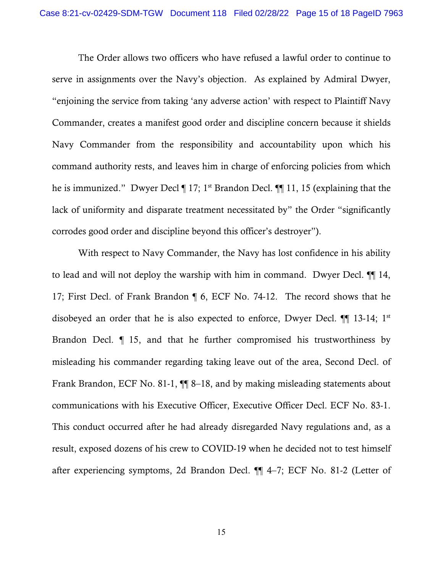The Order allows two officers who have refused a lawful order to continue to serve in assignments over the Navy's objection. As explained by Admiral Dwyer, "enjoining the service from taking 'any adverse action' with respect to Plaintiff Navy Commander, creates a manifest good order and discipline concern because it shields Navy Commander from the responsibility and accountability upon which his command authority rests, and leaves him in charge of enforcing policies from which he is immunized." Dwyer Decl ¶ 17; 1<sup>st</sup> Brandon Decl. ¶¶ 11, 15 (explaining that the lack of uniformity and disparate treatment necessitated by" the Order "significantly corrodes good order and discipline beyond this officer's destroyer").

With respect to Navy Commander, the Navy has lost confidence in his ability to lead and will not deploy the warship with him in command. Dwyer Decl. ¶¶ 14, 17; First Decl. of Frank Brandon ¶ 6, ECF No. 74-12. The record shows that he disobeyed an order that he is also expected to enforce, Dwyer Decl. ¶¶ 13-14; 1st Brandon Decl. *¶* 15, and that he further compromised his trustworthiness by misleading his commander regarding taking leave out of the area, Second Decl. of Frank Brandon, ECF No. 81-1, ¶¶ 8–18, and by making misleading statements about communications with his Executive Officer, Executive Officer Decl. ECF No. 83-1. This conduct occurred after he had already disregarded Navy regulations and, as a result, exposed dozens of his crew to COVID-19 when he decided not to test himself after experiencing symptoms, 2d Brandon Decl. ¶¶ 4–7; ECF No. 81-2 (Letter of

15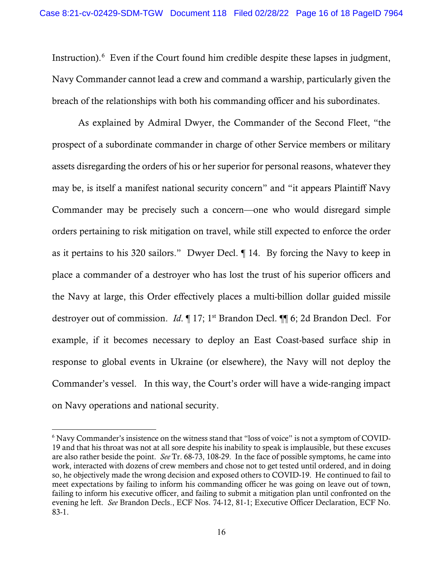Instruction).<sup>6</sup> Even if the Court found him credible despite these lapses in judgment, Navy Commander cannot lead a crew and command a warship, particularly given the breach of the relationships with both his commanding officer and his subordinates.

As explained by Admiral Dwyer, the Commander of the Second Fleet, "the prospect of a subordinate commander in charge of other Service members or military assets disregarding the orders of his or her superior for personal reasons, whatever they may be, is itself a manifest national security concern" and "it appears Plaintiff Navy Commander may be precisely such a concern—one who would disregard simple orders pertaining to risk mitigation on travel, while still expected to enforce the order as it pertains to his 320 sailors." Dwyer Decl. ¶ 14. By forcing the Navy to keep in place a commander of a destroyer who has lost the trust of his superior officers and the Navy at large, this Order effectively places a multi-billion dollar guided missile destroyer out of commission. *Id*. ¶ 17; 1<sup>st</sup> Brandon Decl. ¶ 6; 2d Brandon Decl. For example, if it becomes necessary to deploy an East Coast-based surface ship in response to global events in Ukraine (or elsewhere), the Navy will not deploy the Commander's vessel. In this way, the Court's order will have a wide-ranging impact on Navy operations and national security.

<sup>6</sup> Navy Commander's insistence on the witness stand that "loss of voice" is not a symptom of COVID-19 and that his throat was not at all sore despite his inability to speak is implausible, but these excuses are also rather beside the point. *See* Tr. 68-73, 108-29. In the face of possible symptoms, he came into work, interacted with dozens of crew members and chose not to get tested until ordered, and in doing so, he objectively made the wrong decision and exposed others to COVID-19. He continued to fail to meet expectations by failing to inform his commanding officer he was going on leave out of town, failing to inform his executive officer, and failing to submit a mitigation plan until confronted on the evening he left. *See* Brandon Decls., ECF Nos. 74-12, 81-1; Executive Officer Declaration, ECF No. 83-1.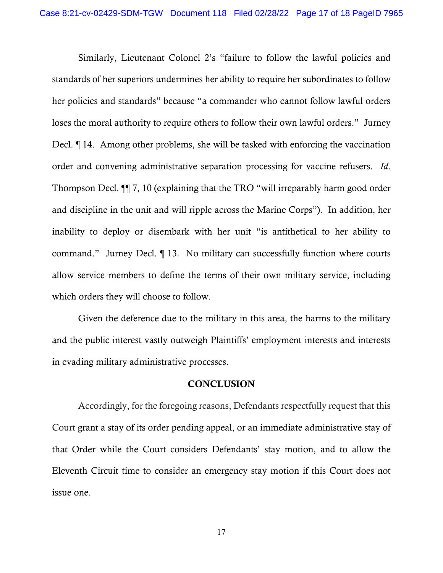Similarly, Lieutenant Colonel 2's "failure to follow the lawful policies and standards of her superiors undermines her ability to require her subordinates to follow her policies and standards" because "a commander who cannot follow lawful orders loses the moral authority to require others to follow their own lawful orders." Jurney Decl. ¶ 14. Among other problems, she will be tasked with enforcing the vaccination order and convening administrative separation processing for vaccine refusers. *Id*. Thompson Decl. ¶¶ 7, 10 (explaining that the TRO "will irreparably harm good order and discipline in the unit and will ripple across the Marine Corps"). In addition, her inability to deploy or disembark with her unit "is antithetical to her ability to command." Jurney Decl. ¶ 13. No military can successfully function where courts allow service members to define the terms of their own military service, including which orders they will choose to follow.

Given the deference due to the military in this area, the harms to the military and the public interest vastly outweigh Plaintiffs' employment interests and interests in evading military administrative processes.

### **CONCLUSION**

Accordingly, for the foregoing reasons, Defendants respectfully request that this Court grant a stay of its order pending appeal, or an immediate administrative stay of that Order while the Court considers Defendants' stay motion, and to allow the Eleventh Circuit time to consider an emergency stay motion if this Court does not issue one.

17